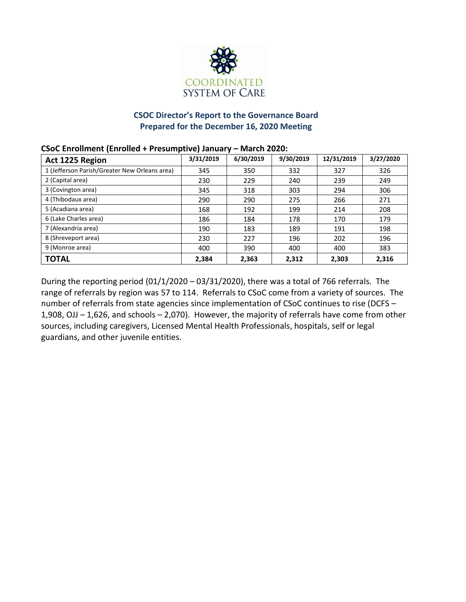

# **CSOC Director's Report to the Governance Board Prepared for the December 16, 2020 Meeting**

## **CSoC Enrollment (Enrolled + Presumptive) January – March 2020:**

| Act 1225 Region                               | 3/31/2019 | 6/30/2019 | 9/30/2019 | 12/31/2019 | 3/27/2020 |
|-----------------------------------------------|-----------|-----------|-----------|------------|-----------|
| 1 (Jefferson Parish/Greater New Orleans area) | 345       | 350       | 332       | 327        | 326       |
| 2 (Capital area)                              | 230       | 229       | 240       | 239        | 249       |
| 3 (Covington area)                            | 345       | 318       | 303       | 294        | 306       |
| 4 (Thibodaux area)                            | 290       | 290       | 275       | 266        | 271       |
| 5 (Acadiana area)                             | 168       | 192       | 199       | 214        | 208       |
| 6 (Lake Charles area)                         | 186       | 184       | 178       | 170        | 179       |
| 7 (Alexandria area)                           | 190       | 183       | 189       | 191        | 198       |
| 8 (Shreveport area)                           | 230       | 227       | 196       | 202        | 196       |
| 9 (Monroe area)                               | 400       | 390       | 400       | 400        | 383       |
| <b>TOTAL</b>                                  | 2,384     | 2,363     | 2,312     | 2,303      | 2,316     |

During the reporting period (01/1/2020 – 03/31/2020), there was a total of 766 referrals. The range of referrals by region was 57 to 114. Referrals to CSoC come from a variety of sources. The number of referrals from state agencies since implementation of CSoC continues to rise (DCFS – 1,908, OJJ – 1,626, and schools – 2,070). However, the majority of referrals have come from other sources, including caregivers, Licensed Mental Health Professionals, hospitals, self or legal guardians, and other juvenile entities.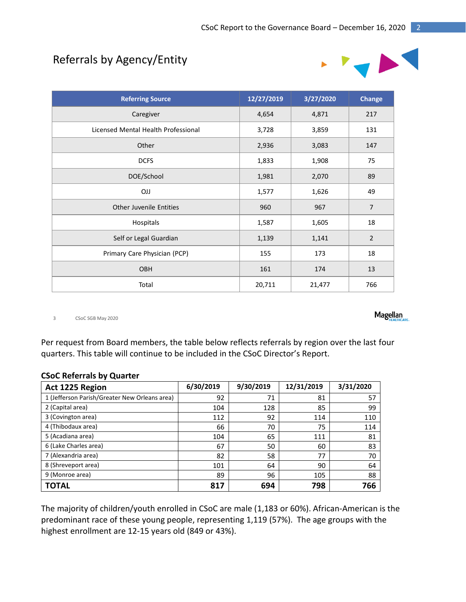# Referrals by Agency/Entity



| <b>Referring Source</b>             | 12/27/2019 | 3/27/2020 | <b>Change</b>  |
|-------------------------------------|------------|-----------|----------------|
| Caregiver                           | 4,654      | 4,871     | 217            |
| Licensed Mental Health Professional | 3,728      | 3,859     | 131            |
| Other                               | 2,936      | 3,083     | 147            |
| <b>DCFS</b>                         | 1,833      | 1,908     | 75             |
| DOE/School                          | 1,981      | 2,070     | 89             |
| <b>OJJ</b>                          | 1,577      | 1,626     | 49             |
| <b>Other Juvenile Entities</b>      | 960        | 967       | $\overline{7}$ |
| Hospitals                           | 1,587      | 1,605     | 18             |
| Self or Legal Guardian              | 1,139      | 1,141     | $\overline{2}$ |
| Primary Care Physician (PCP)        | 155        | 173       | 18             |
| OBH                                 | 161        | 174       | 13             |
| Total                               | 20,711     | 21,477    | 766            |

3 CSoC SGB May 2020

Per request from Board members, the table below reflects referrals by region over the last four quarters. This table will continue to be included in the CSoC Director's Report.

| Act 1225 Region                               | 6/30/2019 | 9/30/2019 | 12/31/2019 | 3/31/2020 |
|-----------------------------------------------|-----------|-----------|------------|-----------|
| 1 (Jefferson Parish/Greater New Orleans area) | 92        | 71        | 81         | 57        |
| 2 (Capital area)                              | 104       | 128       | 85         | 99        |
| 3 (Covington area)                            | 112       | 92        | 114        | 110       |
| 4 (Thibodaux area)                            | 66        | 70        | 75         | 114       |
| 5 (Acadiana area)                             | 104       | 65        | 111        | 81        |
| 6 (Lake Charles area)                         | 67        | 50        | 60         | 83        |
| 7 (Alexandria area)                           | 82        | 58        | 77         | 70        |
| 8 (Shreveport area)                           | 101       | 64        | 90         | 64        |
| 9 (Monroe area)                               | 89        | 96        | 105        | 88        |
| <b>TOTAL</b>                                  | 817       | 694       | 798        | 766       |

The majority of children/youth enrolled in CSoC are male (1,183 or 60%). African-American is the predominant race of these young people, representing 1,119 (57%). The age groups with the highest enrollment are 12-15 years old (849 or 43%).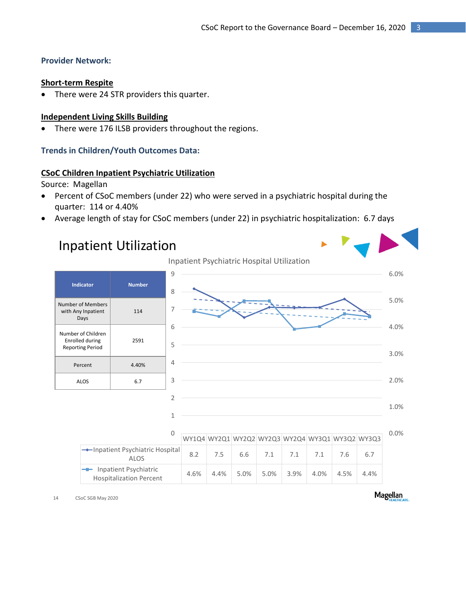# **Provider Network:**

#### **Short-term Respite**

There were 24 STR providers this quarter.

# **Independent Living Skills Building**

There were 176 ILSB providers throughout the regions.

# **Trends in Children/Youth Outcomes Data:**

# **CSoC Children Inpatient Psychiatric Utilization**

Source: Magellan

- Percent of CSoC members (under 22) who were served in a psychiatric hospital during the quarter: 114 or 4.40%
- Average length of stay for CSoC members (under 22) in psychiatric hospitalization: 6.7 days



14 CSoC SGB May 2020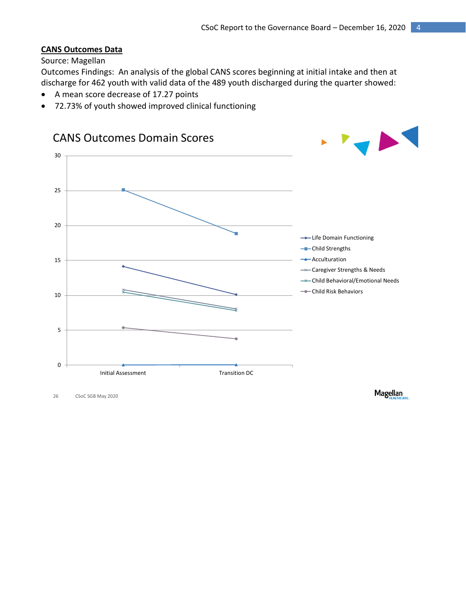# **CANS Outcomes Data**

# Source: Magellan

Outcomes Findings: An analysis of the global CANS scores beginning at initial intake and then at discharge for 462 youth with valid data of the 489 youth discharged during the quarter showed:

- A mean score decrease of 17.27 points
- 72.73% of youth showed improved clinical functioning



26 CSoC SGB May 2020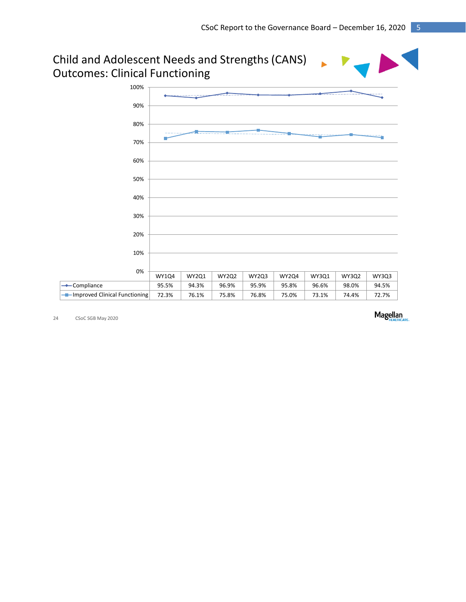

24 CSoC SGB May 2020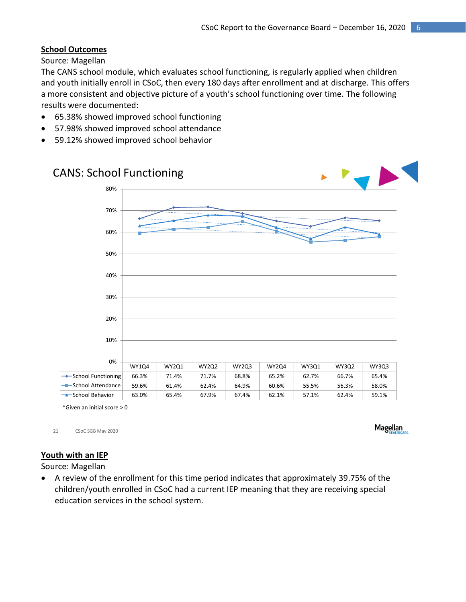# **School Outcomes**

Source: Magellan

The CANS school module, which evaluates school functioning, is regularly applied when children and youth initially enroll in CSoC, then every 180 days after enrollment and at discharge. This offers a more consistent and objective picture of a youth's school functioning over time. The following results were documented:

- 65.38% showed improved school functioning
- 57.98% showed improved school attendance
- 59.12% showed improved school behavior



\*Given an initial score > 0

21 CSoC SGB May 2020

**Magellan** 

# **Youth with an IEP**

Source: Magellan

 A review of the enrollment for this time period indicates that approximately 39.75% of the children/youth enrolled in CSoC had a current IEP meaning that they are receiving special education services in the school system.